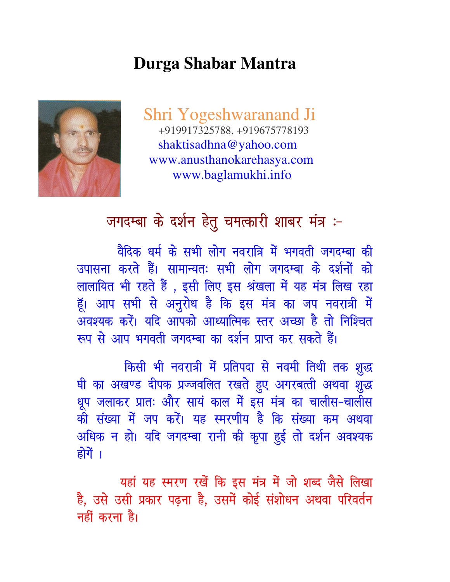## **Durga Shabar Mantra**

Shri Yogeshwaranand Ji +919917325788, +919675778193 shaktisadhna@yahoo.com www.anusthanokarehasya.com www.baglamukhi.info



## जगदम्बा के दर्शन हेतु चमत्कारी शाबर मंत्र :-

वैदिक धर्म के सभी लोग नवरात्रि में भगवती जगदम्बा की उपासना करते हैं। सामान्यतः सभी लोग जगदम्बा के दर्शनों को लालायित भी रहते हैं , इसी लिए इस श्रंखला में यह मंत्र लिख रहा हूँ। आप सभी से अनुरोध है कि इस मंत्र का जप नवरात्री में अवश्यक करें। यदि आपको आध्यात्मिक स्तर अच्छा है तो निश्चित रूप से आप भगवती जगदम्बा का दर्शन प्राप्त कर सकते हैं।

किसी भी नवरात्री में प्रतिपदा से नवमी तिथी तक शुद्ध घी का अखण्ड दीपक प्रज्जवलित रखते हुए अगरबत्ती अथवा शुद्ध धूप जलाकर प्रातः और सायं काल में इस मंत्र का चालीस-चालीस की संख्या में जप करें। यह स्मरणीय है कि संख्या कम अथवा अधिक न हो। यदि जगदम्बा रानी की कृपा हुई तो दर्शन अवश्यक होगें ।

यहां यह स्मरण रखें कि इस मंत्र में जो शब्द जैसे लिखा है, उसे उसी प्रकार पढ़ना है, उसमें कोई संशोधन अथवा परिवर्तन नहीं करना है।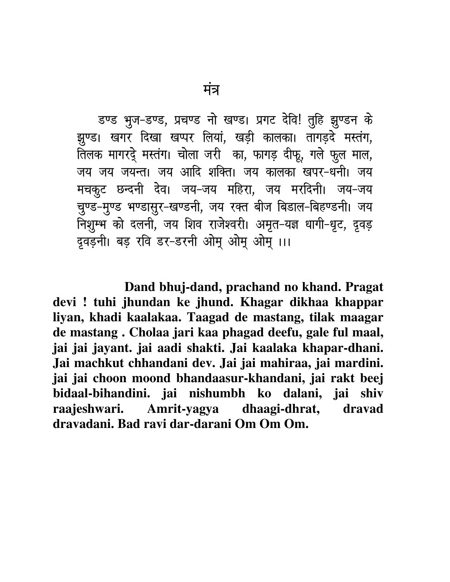डण्ड भूज-डण्ड, प्रचण्ड नो खण्ड। प्रगट देवि! तुहि झुण्डन के झुण्ड। खगर दिखा खप्पर लियां, खड़ी कालका। तागड़दे मस्तंग, लिलक मागरदे मस्तंग। चोला जरी का, फागड़ दीफू, गले फुल माल, जय जय जयन्त। जय आदि शक्ति। जय कालका खपर-धनी। जय मचकुट छन्दनी देव। जय-जय महिरा, जय मरदिनी। जय-जय चुण्ड-मुण्ड भण्डासुर-खण्डनी, जय रक्त बीज बिडाल-बिहण्डनी। जय निशुम्भ को दलनी, जय शिव राजेश्वरी। अमृत-यज्ञ धागी-धृट, दृवड़ द्रवड़नी। बड़ रवि डर-डरनी ओमू ओमू ओमू ।।।

 **Dand bhuj-dand, prachand no khand. Pragat devi ! tuhi jhundan ke jhund. Khagar dikhaa khappar liyan, khadi kaalakaa. Taagad de mastang, tilak maagar de mastang . Cholaa jari kaa phagad deefu, gale ful maal, jai jai jayant. jai aadi shakti. Jai kaalaka khapar-dhani. Jai machkut chhandani dev. Jai jai mahiraa, jai mardini. jai jai choon moond bhandaasur-khandani, jai rakt beej bidaal-bihandini. jai nishumbh ko dalani, jai shiv raajeshwari. Amrit-yagya dhaagi-dhrat, dravad dravadani. Bad ravi dar-darani Om Om Om.**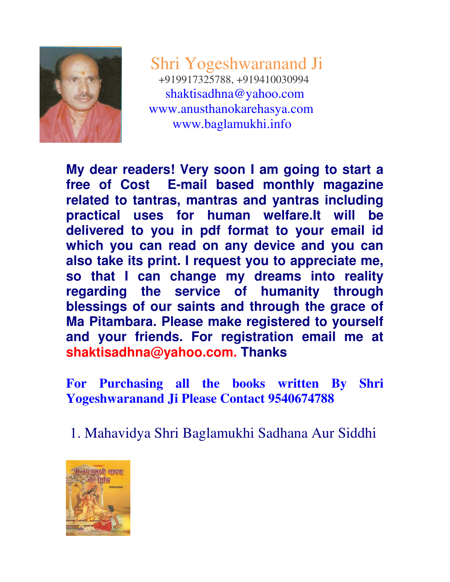

Shri Yogeshwaranand Ji +919917325788, +919410030994 shaktisadhna@yahoo.com www.anusthanokarehasya.com www.baglamukhi.info

**My dear readers! Very soon I am going to start a free of Cost E-mail based monthly magazine related to tantras, mantras and yantras including practical uses for human welfare.It will be delivered to you in pdf format to your email id which you can read on any device and you can also take its print. I request you to appreciate me, so that I can change my dreams into reality regarding the service of humanity through blessings of our saints and through the grace of Ma Pitambara. Please make registered to yourself and your friends. For registration email me at shaktisadhna@yahoo.com. Thanks**

**For Purchasing all the books written By Shri Yogeshwaranand Ji Please Contact 9540674788** 

1. Mahavidya Shri Baglamukhi Sadhana Aur Siddhi